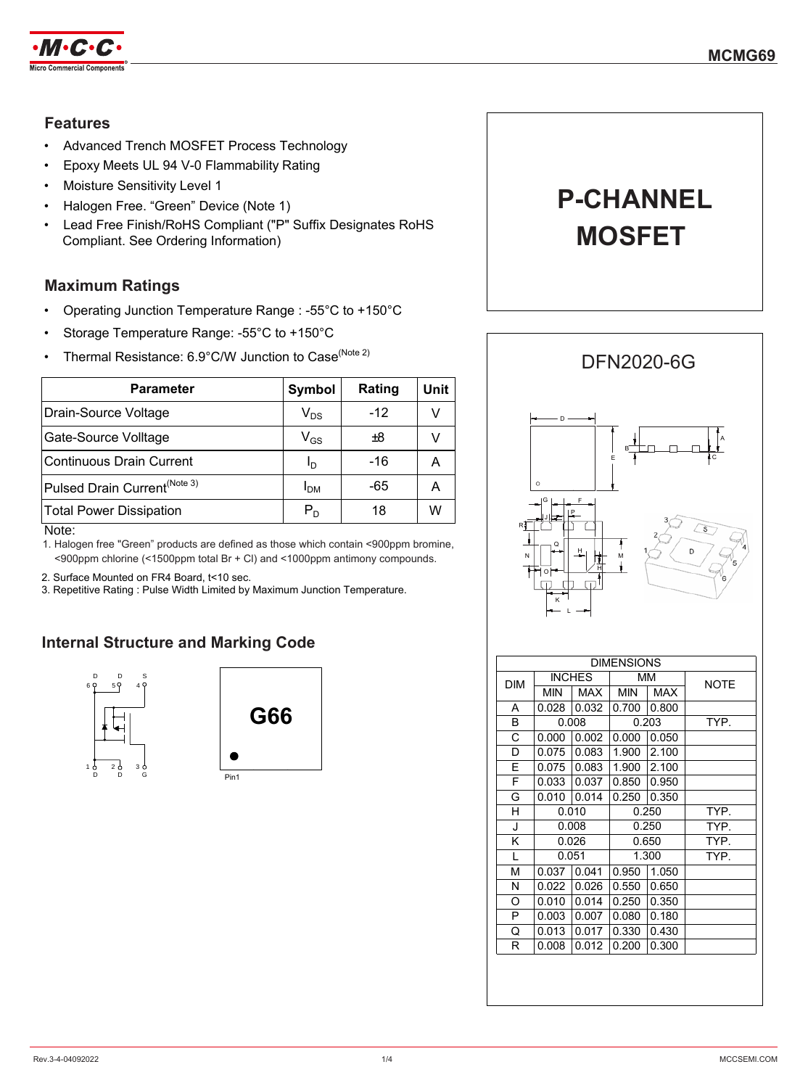

### **Features**

- Advanced Trench MOSFET Process Technology
- Epoxy Meets UL 94 V-0 Flammability Rating
- Moisture Sensitivity Level 1
- Halogen Free. "Green" Device (Note 1)
- Lead Free Finish/RoHS Compliant ("P" Suffix Designates RoHS Compliant. See Ordering Information)

## **Maximum Ratings**

- Operating Junction Temperature Range : -55°C to +150°C
- Storage Temperature Range: -55°C to +150°C
- Thermal Resistance: 6.9°C/W Junction to Case<sup>(Note 2)</sup>

| Parameter                                | <b>Symbol</b>              | Rating | Unit |
|------------------------------------------|----------------------------|--------|------|
| Drain-Source Voltage                     | $\mathsf{V}_{\mathsf{DS}}$ | $-12$  | V    |
| Gate-Source Volltage                     | $\mathsf{V}_{\mathsf{GS}}$ | £8     | V    |
| <b>Continuous Drain Current</b>          | I <sub>D</sub>             | $-16$  | А    |
| Pulsed Drain Current <sup>(Note 3)</sup> | I <sub>DM</sub>            | -65    | А    |
| <b>Total Power Dissipation</b>           | $P_D$                      | 18     | W    |
| $\blacksquare$                           |                            |        |      |

Note:

1. Halogen free "Green" products are defined as those which contain <900ppm bromine, <900ppm chlorine (<1500ppm total Br + Cl) and <1000ppm antimony compounds.

2. Surface Mounted on FR4 Board, t<10 sec.

3. Repetitive Rating : Pulse Width Limited by Maximum Junction Temperature.

## **Internal Structure and Marking Code**





**P-CHANNEL**

**MOSFET**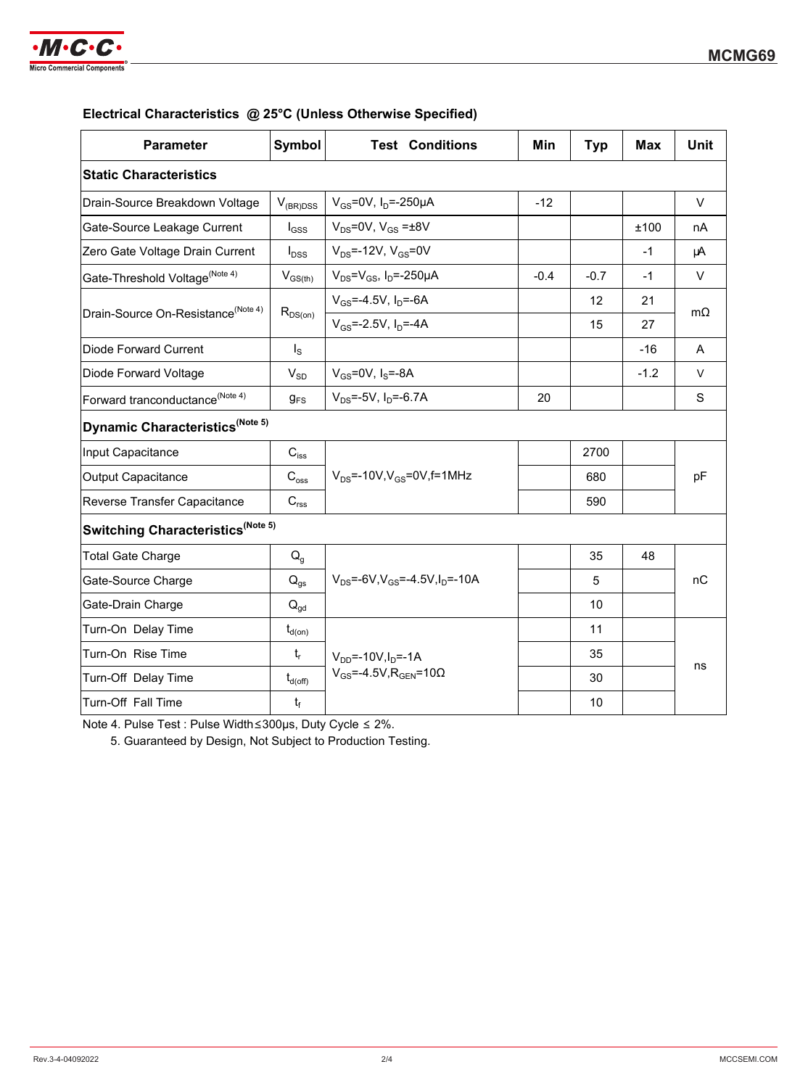

|  | Electrical Characteristics @ 25°C (Unless Otherwise Specified) |
|--|----------------------------------------------------------------|
|--|----------------------------------------------------------------|

| <b>Parameter</b>                               | <b>Symbol</b>       | <b>Test Conditions</b>                                                       | Min    | <b>Typ</b> | <b>Max</b> | <b>Unit</b> |
|------------------------------------------------|---------------------|------------------------------------------------------------------------------|--------|------------|------------|-------------|
| <b>Static Characteristics</b>                  |                     |                                                                              |        |            |            |             |
| Drain-Source Breakdown Voltage                 | $V_{(BR)DSS}$       | $V_{GS}$ =0V, I <sub>D</sub> =-250µA                                         | $-12$  |            |            | $\vee$      |
| Gate-Source Leakage Current                    | $I_{GSS}$           | $V_{DS}$ =0V, $V_{GS}$ = $\pm$ 8V                                            |        |            | ±100       | nA          |
| Zero Gate Voltage Drain Current                | $I_{DSS}$           | $V_{DS}$ =-12V, $V_{GS}$ =0V                                                 |        |            | $-1$       | μA          |
| Gate-Threshold Voltage <sup>(Note 4)</sup>     | $V_{GS(th)}$        | $V_{DS} = V_{GS}$ , I <sub>D</sub> =-250µA                                   | $-0.4$ | $-0.7$     | $-1$       | V           |
| Drain-Source On-Resistance <sup>(Note 4)</sup> |                     | $V_{GS} = -4.5V$ , $I_D = -6A$                                               |        | 12         | 21         | $m\Omega$   |
|                                                | $R_{DS(on)}$        | $V_{GS}$ =-2.5V, $I_{D}$ =-4A                                                |        | 15         | 27         |             |
| Diode Forward Current                          | $I_{\rm S}$         |                                                                              |        |            | $-16$      | A           |
| Diode Forward Voltage                          | $V_{SD}$            | $V_{GS}$ =0V, $I_S$ =-8A                                                     |        |            | $-1.2$     | $\vee$      |
| Forward tranconductance <sup>(Note 4)</sup>    | $g_{FS}$            | $V_{DS}$ =-5V, $I_{D}$ =-6.7A                                                | 20     |            |            | S           |
| Dynamic Characteristics <sup>(Note 5)</sup>    |                     |                                                                              |        |            |            |             |
| Input Capacitance                              | $C_{\mathsf{iss}}$  |                                                                              |        | 2700       |            |             |
| Output Capacitance                             | $C_{\rm oss}$       | $V_{DS}$ =-10V, $V_{GS}$ =0V, f=1MHz                                         |        | 680        |            | pF          |
| Reverse Transfer Capacitance                   | $C_{\text{rss}}$    |                                                                              |        | 590        |            |             |
| Switching Characteristics <sup>(Note 5)</sup>  |                     |                                                                              |        |            |            |             |
| <b>Total Gate Charge</b>                       | $Q_{q}$             | $V_{DS}$ =-6V, $V_{GS}$ =-4.5V, $I_D$ =-10A                                  |        | 35         | 48         |             |
| Gate-Source Charge                             | $Q_{gs}$            |                                                                              |        | 5          |            | nС          |
| Gate-Drain Charge                              | $Q_{gd}$            |                                                                              |        | 10         |            |             |
| Turn-On Delay Time                             | $t_{d(on)}$         | $V_{DD}$ =-10V, $I_D$ =-1A<br>$V_{GS}$ =-4.5V, R <sub>GEN</sub> =10 $\Omega$ |        | 11         |            |             |
| Turn-On Rise Time                              | $t_r$               |                                                                              |        | 35         |            |             |
| Turn-Off Delay Time                            | $t_{d(\text{off})}$ |                                                                              |        | 30         |            | ns          |
| Turn-Off Fall Time                             | $t_f$               |                                                                              |        | 10         |            |             |

Note 4. Pulse Test : Pulse Width≤300μs, Duty Cycle ≤ 2%.

5. Guaranteed by Design, Not Subject to Production Testing.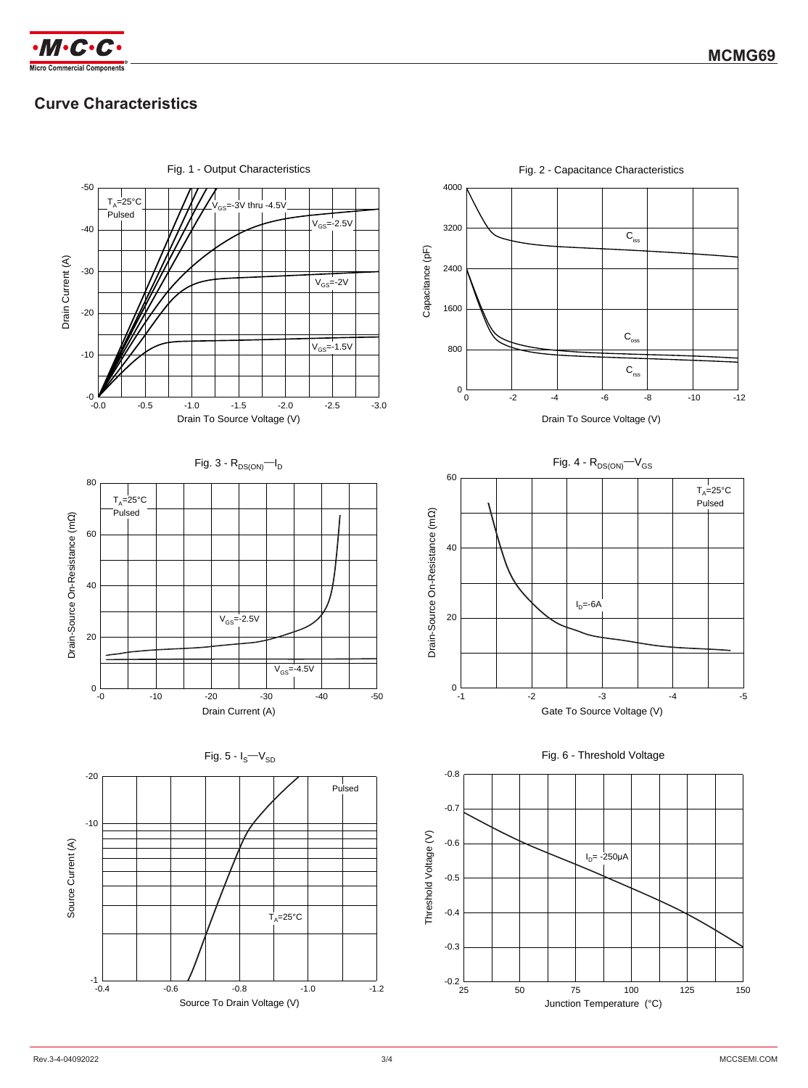

# **Curve Characteristics**